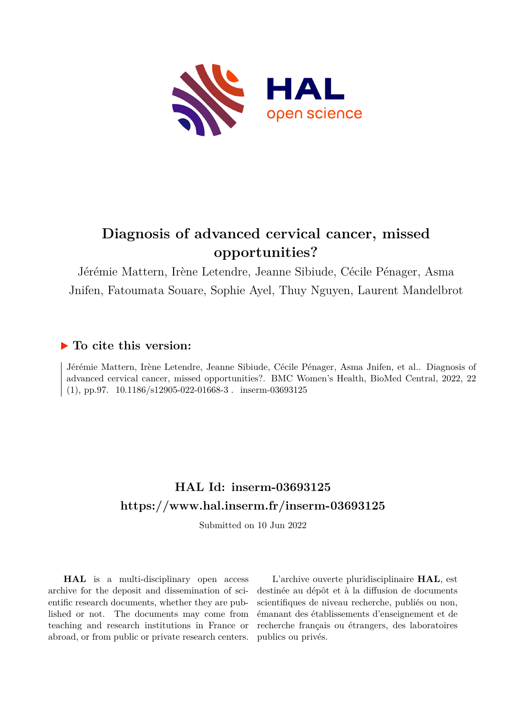

# **Diagnosis of advanced cervical cancer, missed opportunities?**

Jérémie Mattern, Irène Letendre, Jeanne Sibiude, Cécile Pénager, Asma Jnifen, Fatoumata Souare, Sophie Ayel, Thuy Nguyen, Laurent Mandelbrot

## **To cite this version:**

Jérémie Mattern, Irène Letendre, Jeanne Sibiude, Cécile Pénager, Asma Jnifen, et al.. Diagnosis of advanced cervical cancer, missed opportunities?. BMC Women's Health, BioMed Central, 2022, 22  $(1)$ , pp.97.  $10.1186/s12905-022-01668-3$ . inserm-03693125

# **HAL Id: inserm-03693125 <https://www.hal.inserm.fr/inserm-03693125>**

Submitted on 10 Jun 2022

**HAL** is a multi-disciplinary open access archive for the deposit and dissemination of scientific research documents, whether they are published or not. The documents may come from teaching and research institutions in France or abroad, or from public or private research centers.

L'archive ouverte pluridisciplinaire **HAL**, est destinée au dépôt et à la diffusion de documents scientifiques de niveau recherche, publiés ou non, émanant des établissements d'enseignement et de recherche français ou étrangers, des laboratoires publics ou privés.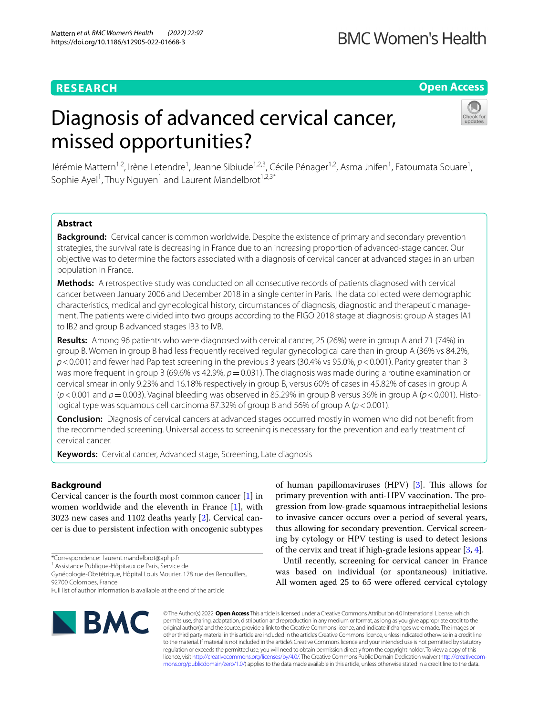## **RESEARCH**

### **Open Access**

# Diagnosis of advanced cervical cancer, missed opportunities?



Jérémie Mattern<sup>1,2</sup>, Irène Letendre<sup>1</sup>, Jeanne Sibiude<sup>1,2,3</sup>, Cécile Pénager<sup>1,2</sup>, Asma Jnifen<sup>1</sup>, Fatoumata Souare<sup>1</sup>, Sophie Ayel<sup>1</sup>, Thuy Nguyen<sup>1</sup> and Laurent Mandelbrot<sup>1,2,3\*</sup>

#### **Abstract**

**Background:** Cervical cancer is common worldwide. Despite the existence of primary and secondary prevention strategies, the survival rate is decreasing in France due to an increasing proportion of advanced-stage cancer. Our objective was to determine the factors associated with a diagnosis of cervical cancer at advanced stages in an urban population in France.

**Methods:** A retrospective study was conducted on all consecutive records of patients diagnosed with cervical cancer between January 2006 and December 2018 in a single center in Paris. The data collected were demographic characteristics, medical and gynecological history, circumstances of diagnosis, diagnostic and therapeutic management. The patients were divided into two groups according to the FIGO 2018 stage at diagnosis: group A stages IA1 to IB2 and group B advanced stages IB3 to IVB.

**Results:** Among 96 patients who were diagnosed with cervical cancer, 25 (26%) were in group A and 71 (74%) in group B. Women in group B had less frequently received regular gynecological care than in group A (36% vs 84.2%, *p*<0.001) and fewer had Pap test screening in the previous 3 years (30.4% vs 95.0%, *p*<0.001). Parity greater than 3 was more frequent in group B (69.6% vs 42.9%,  $p = 0.031$ ). The diagnosis was made during a routine examination or cervical smear in only 9.23% and 16.18% respectively in group B, versus 60% of cases in 45.82% of cases in group A (*p*<0.001 and *p*=0.003). Vaginal bleeding was observed in 85.29% in group B versus 36% in group A (*p*<0.001). Histological type was squamous cell carcinoma 87.32% of group B and 56% of group A (*p*<0.001).

**Conclusion:** Diagnosis of cervical cancers at advanced stages occurred mostly in women who did not beneft from the recommended screening. Universal access to screening is necessary for the prevention and early treatment of cervical cancer.

**Keywords:** Cervical cancer, Advanced stage, Screening, Late diagnosis

#### **Background**

Cervical cancer is the fourth most common cancer [1] in women worldwide and the eleventh in France [1], with 3023 new cases and 1102 deaths yearly [2]. Cervical cancer is due to persistent infection with oncogenic subtypes

\*Correspondence: laurent.mandelbrot@aphp.fr

<sup>1</sup> Assistance Publique-Hôpitaux de Paris, Service de

Gynécologie-Obstétrique, Hôpital Louis Mourier, 178 rue des Renouillers, 92700 Colombes, France

Full list of author information is available at the end of the article



of human papillomaviruses  $(HPV)$  [3]. This allows for primary prevention with anti-HPV vaccination. The progression from low-grade squamous intraepithelial lesions to invasive cancer occurs over a period of several years, thus allowing for secondary prevention. Cervical screening by cytology or HPV testing is used to detect lesions of the cervix and treat if high-grade lesions appear [3, 4].

Until recently, screening for cervical cancer in France was based on individual (or spontaneous) initiative. All women aged 25 to 65 were ofered cervical cytology

© The Author(s) 2022. **Open Access** This article is licensed under a Creative Commons Attribution 4.0 International License, which permits use, sharing, adaptation, distribution and reproduction in any medium or format, as long as you give appropriate credit to the original author(s) and the source, provide a link to the Creative Commons licence, and indicate if changes were made. The images or other third party material in this article are included in the article's Creative Commons licence, unless indicated otherwise in a credit line to the material. If material is not included in the article's Creative Commons licence and your intended use is not permitted by statutory regulation or exceeds the permitted use, you will need to obtain permission directly from the copyright holder. To view a copy of this licence, visit [http://creativecommons.org/licenses/by/4.0/.](http://creativecommons.org/licenses/by/4.0/) The Creative Commons Public Domain Dedication waiver ([http://creativecom](http://creativecommons.org/publicdomain/zero/1.0/)[mons.org/publicdomain/zero/1.0/\)](http://creativecommons.org/publicdomain/zero/1.0/) applies to the data made available in this article, unless otherwise stated in a credit line to the data.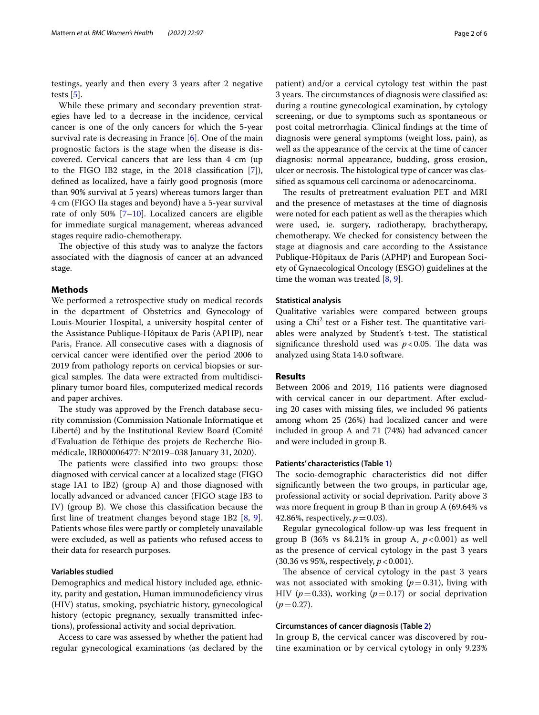testings, yearly and then every 3 years after 2 negative tests [5].

While these primary and secondary prevention strategies have led to a decrease in the incidence, cervical cancer is one of the only cancers for which the 5-year survival rate is decreasing in France [6]. One of the main prognostic factors is the stage when the disease is discovered. Cervical cancers that are less than 4 cm (up to the FIGO IB2 stage, in the 2018 classifcation [7]), defned as localized, have a fairly good prognosis (more than 90% survival at 5 years) whereas tumors larger than 4 cm (FIGO IIa stages and beyond) have a 5-year survival rate of only 50%  $[7-10]$ . Localized cancers are eligible for immediate surgical management, whereas advanced stages require radio-chemotherapy.

The objective of this study was to analyze the factors associated with the diagnosis of cancer at an advanced stage.

#### **Methods**

We performed a retrospective study on medical records in the department of Obstetrics and Gynecology of Louis-Mourier Hospital, a university hospital center of the Assistance Publique-Hôpitaux de Paris (APHP), near Paris, France. All consecutive cases with a diagnosis of cervical cancer were identifed over the period 2006 to 2019 from pathology reports on cervical biopsies or surgical samples. The data were extracted from multidisciplinary tumor board fles, computerized medical records and paper archives.

The study was approved by the French database security commission (Commission Nationale Informatique et Liberté) and by the Institutional Review Board (Comité d'Evaluation de l'éthique des projets de Recherche Biomédicale, IRB00006477: N°2019–038 January 31, 2020).

The patients were classified into two groups: those diagnosed with cervical cancer at a localized stage (FIGO stage IA1 to IB2) (group A) and those diagnosed with locally advanced or advanced cancer (FIGO stage IB3 to IV) (group B). We chose this classifcation because the frst line of treatment changes beyond stage 1B2 [8, 9]. Patients whose fles were partly or completely unavailable were excluded, as well as patients who refused access to their data for research purposes.

#### **Variables studied**

Demographics and medical history included age, ethnicity, parity and gestation, Human immunodefciency virus (HIV) status, smoking, psychiatric history, gynecological history (ectopic pregnancy, sexually transmitted infections), professional activity and social deprivation.

Access to care was assessed by whether the patient had regular gynecological examinations (as declared by the patient) and/or a cervical cytology test within the past 3 years. The circumstances of diagnosis were classified as: during a routine gynecological examination, by cytology screening, or due to symptoms such as spontaneous or post coital metrorrhagia. Clinical fndings at the time of diagnosis were general symptoms (weight loss, pain), as well as the appearance of the cervix at the time of cancer diagnosis: normal appearance, budding, gross erosion, ulcer or necrosis. The histological type of cancer was classifed as squamous cell carcinoma or adenocarcinoma.

The results of pretreatment evaluation PET and MRI and the presence of metastases at the time of diagnosis were noted for each patient as well as the therapies which were used, ie. surgery, radiotherapy, brachytherapy, chemotherapy. We checked for consistency between the stage at diagnosis and care according to the Assistance Publique-Hôpitaux de Paris (APHP) and European Society of Gynaecological Oncology (ESGO) guidelines at the time the woman was treated [8, 9].

#### **Statistical analysis**

Qualitative variables were compared between groups using a Chi<sup>2</sup> test or a Fisher test. The quantitative variables were analyzed by Student's t-test. The statistical significance threshold used was  $p < 0.05$ . The data was analyzed using Stata 14.0 software.

#### **Results**

Between 2006 and 2019, 116 patients were diagnosed with cervical cancer in our department. After excluding 20 cases with missing fles, we included 96 patients among whom 25 (26%) had localized cancer and were included in group A and 71 (74%) had advanced cancer and were included in group B.

#### **Patients' characteristics (Table 1)**

The socio-demographic characteristics did not differ signifcantly between the two groups, in particular age, professional activity or social deprivation. Parity above 3 was more frequent in group B than in group A (69.64% vs 42.86%, respectively,  $p = 0.03$ ).

Regular gynecological follow-up was less frequent in group B (36% vs 84.21% in group A,  $p < 0.001$ ) as well as the presence of cervical cytology in the past 3 years (30.36 vs 95%, respectively, *p*<0.001).

The absence of cervical cytology in the past 3 years was not associated with smoking  $(p=0.31)$ , living with HIV ( $p=0.33$ ), working ( $p=0.17$ ) or social deprivation  $(p=0.27)$ .

#### **Circumstances of cancer diagnosis (Table 2)**

In group B, the cervical cancer was discovered by routine examination or by cervical cytology in only 9.23%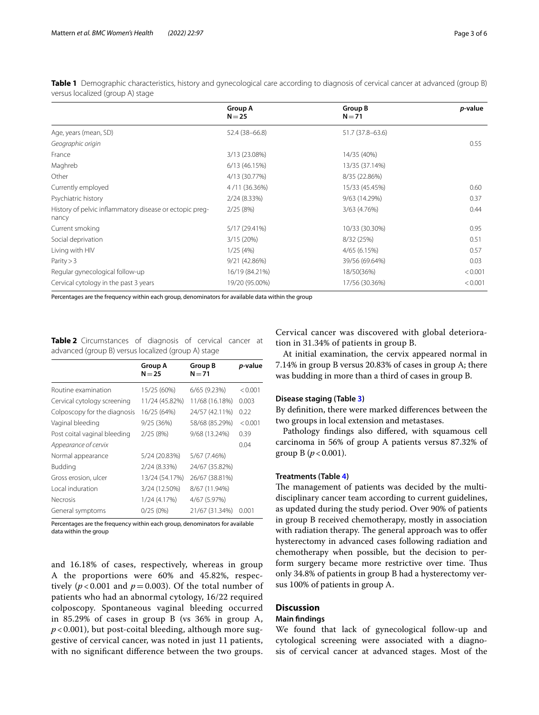**Table 1** Demographic characteristics, history and gynecological care according to diagnosis of cervical cancer at advanced (group B) versus localized (group A) stage

|                                                                  | <b>Group A</b><br>$N = 25$ | <b>Group B</b><br>$N = 71$ | <i>p</i> -value |
|------------------------------------------------------------------|----------------------------|----------------------------|-----------------|
| Age, years (mean, SD)                                            | 52.4 (38-66.8)             | 51.7 (37.8–63.6)           |                 |
| Geographic origin                                                |                            |                            | 0.55            |
| France                                                           | 3/13 (23.08%)              | 14/35 (40%)                |                 |
| Maghreb                                                          | 6/13 (46.15%)              | 13/35 (37.14%)             |                 |
| Other                                                            | 4/13 (30.77%)              | 8/35 (22.86%)              |                 |
| Currently employed                                               | 4/11 (36.36%)              | 15/33 (45.45%)             | 0.60            |
| Psychiatric history                                              | 2/24 (8.33%)               | 9/63 (14.29%)              | 0.37            |
| History of pelvic inflammatory disease or ectopic preg-<br>nancy | 2/25(8%)                   | 3/63 (4.76%)               | 0.44            |
| Current smoking                                                  | 5/17 (29.41%)              | 10/33 (30.30%)             | 0.95            |
| Social deprivation                                               | 3/15(20%)                  | 8/32 (25%)                 | 0.51            |
| Living with HIV                                                  | 1/25(4%)                   | 4/65(6.15%)                | 0.57            |
| Parity $> 3$                                                     | 9/21 (42.86%)              | 39/56 (69.64%)             | 0.03            |
| Regular gynecological follow-up                                  | 16/19 (84.21%)             | 18/50(36%)                 | < 0.001         |
| Cervical cytology in the past 3 years                            | 19/20 (95.00%)             | 17/56 (30.36%)             | < 0.001         |

Percentages are the frequency within each group, denominators for available data within the group

**Table 2** Circumstances of diagnosis of cervical cancer at advanced (group B) versus localized (group A) stage

|                              | <b>Group A</b><br>$N = 25$ | Group B<br>$N = 71$ | <i>p</i> -value |
|------------------------------|----------------------------|---------------------|-----------------|
| Routine examination          | 15/25 (60%)                | 6/65(9.23%)         | < 0.001         |
| Cervical cytology screening  | 11/24 (45.82%)             | 11/68 (16.18%)      | 0.003           |
| Colposcopy for the diagnosis | 16/25 (64%)                | 24/57 (42.11%)      | 0.22            |
| Vaginal bleeding             | 9/25(36%)                  | 58/68 (85.29%)      | < 0.001         |
| Post coital vaginal bleeding | 2/25(8%)                   | 9/68 (13.24%)       | 0.39            |
| Appearance of cervix         |                            |                     | 0.04            |
| Normal appearance            | 5/24 (20.83%)              | 5/67 (7.46%)        |                 |
| Budding                      | 2/24 (8.33%)               | 24/67 (35.82%)      |                 |
| Gross erosion, ulcer         | 13/24 (54.17%)             | 26/67 (38.81%)      |                 |
| Local induration             | 3/24 (12.50%)              | 8/67 (11.94%)       |                 |
| <b>Necrosis</b>              | 1/24 (4.17%)               | 4/67 (5.97%)        |                 |
| General symptoms             | 0/25(0%)                   | 21/67 (31.34%)      | 0.001           |

Percentages are the frequency within each group, denominators for available data within the group

and 16.18% of cases, respectively, whereas in group A the proportions were 60% and 45.82%, respectively ( $p < 0.001$  and  $p = 0.003$ ). Of the total number of patients who had an abnormal cytology, 16/22 required colposcopy. Spontaneous vaginal bleeding occurred in 85.29% of cases in group B (vs 36% in group A, *p* < 0.001), but post-coital bleeding, although more suggestive of cervical cancer, was noted in just 11 patients, with no signifcant diference between the two groups.

Cervical cancer was discovered with global deterioration in 31.34% of patients in group B.

At initial examination, the cervix appeared normal in 7.14% in group B versus 20.83% of cases in group A; there was budding in more than a third of cases in group B.

#### **Disease staging (Table 3)**

By defnition, there were marked diferences between the two groups in local extension and metastases.

Pathology fndings also difered, with squamous cell carcinoma in 56% of group A patients versus 87.32% of group B (*p*<0.001).

#### **Treatments (Table 4)**

The management of patients was decided by the multidisciplinary cancer team according to current guidelines, as updated during the study period. Over 90% of patients in group B received chemotherapy, mostly in association with radiation therapy. The general approach was to offer hysterectomy in advanced cases following radiation and chemotherapy when possible, but the decision to perform surgery became more restrictive over time. Thus only 34.8% of patients in group B had a hysterectomy versus 100% of patients in group A.

#### **Discussion**

#### **Main fndings**

We found that lack of gynecological follow-up and cytological screening were associated with a diagnosis of cervical cancer at advanced stages. Most of the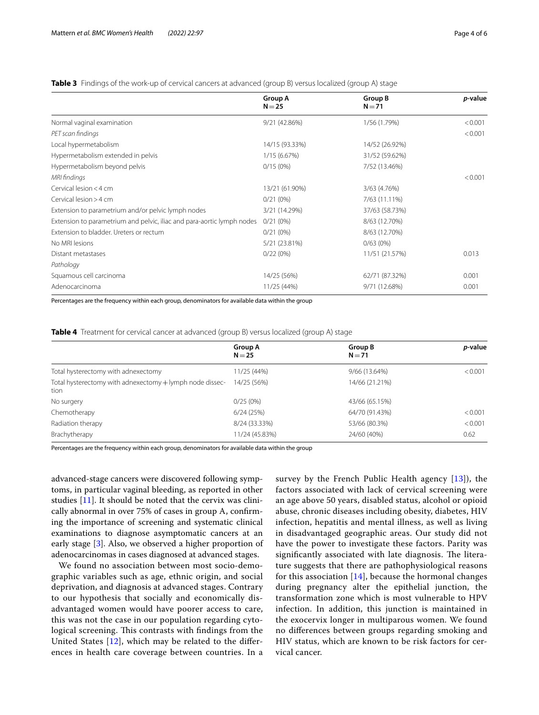**Table 3** Findings of the work-up of cervical cancers at advanced (group B) versus localized (group A) stage

|                                                                        | Group A<br>$N = 25$ | Group B<br>$N = 71$ | p-value |
|------------------------------------------------------------------------|---------------------|---------------------|---------|
|                                                                        |                     |                     |         |
| Normal vaginal examination                                             | 9/21 (42.86%)       | 1/56 (1.79%)        | < 0.001 |
| PET scan findings                                                      |                     |                     | < 0.001 |
| Local hypermetabolism                                                  | 14/15 (93.33%)      | 14/52 (26.92%)      |         |
| Hypermetabolism extended in pelvis                                     | 1/15 (6.67%)        | 31/52 (59.62%)      |         |
| Hypermetabolism beyond pelvis                                          | 0/15(0%)            | 7/52 (13.46%)       |         |
| MRI findings                                                           |                     |                     | < 0.001 |
| Cervical lesion $<$ 4 cm                                               | 13/21 (61.90%)      | 3/63 (4.76%)        |         |
| Cervical lesion > 4 cm                                                 | 0/21(0%)            | 7/63 (11.11%)       |         |
| Extension to parametrium and/or pelvic lymph nodes                     | 3/21 (14.29%)       | 37/63 (58.73%)      |         |
| Extension to parametrium and pelvic, iliac and para-aortic lymph nodes | 0/21(0%)            | 8/63 (12.70%)       |         |
| Extension to bladder. Ureters or rectum                                | 0/21(0%)            | 8/63 (12.70%)       |         |
| No MRI lesions                                                         | 5/21 (23.81%)       | 0/63(0%)            |         |
| Distant metastases                                                     | 0/22(0%)            | 11/51 (21.57%)      | 0.013   |
| Pathology                                                              |                     |                     |         |
| Squamous cell carcinoma                                                | 14/25 (56%)         | 62/71 (87.32%)      | 0.001   |
| Adenocarcinoma                                                         | 11/25 (44%)         | 9/71 (12.68%)       | 0.001   |

Percentages are the frequency within each group, denominators for available data within the group

**Table 4** Treatment for cervical cancer at advanced (group B) versus localized (group A) stage

|                                                                  | Group A<br>$N = 25$ | Group B<br>$N = 71$ | p-value |
|------------------------------------------------------------------|---------------------|---------------------|---------|
| Total hysterectomy with adnexectomy                              | 11/25 (44%)         | 9/66 (13.64%)       | < 0.001 |
| Total hysterectomy with adnexectomy + lymph node dissec-<br>tion | 14/25 (56%)         | 14/66 (21.21%)      |         |
| No surgery                                                       | 0/25(0%)            | 43/66 (65.15%)      |         |
| Chemotherapy                                                     | 6/24(25%)           | 64/70 (91.43%)      | < 0.001 |
| Radiation therapy                                                | 8/24 (33.33%)       | 53/66 (80.3%)       | < 0.001 |
| Brachytherapy                                                    | 11/24 (45.83%)      | 24/60 (40%)         | 0.62    |

Percentages are the frequency within each group, denominators for available data within the group

advanced-stage cancers were discovered following symptoms, in particular vaginal bleeding, as reported in other studies [11]. It should be noted that the cervix was clinically abnormal in over 75% of cases in group A, confrming the importance of screening and systematic clinical examinations to diagnose asymptomatic cancers at an early stage [3]. Also, we observed a higher proportion of adenocarcinomas in cases diagnosed at advanced stages.

We found no association between most socio-demographic variables such as age, ethnic origin, and social deprivation, and diagnosis at advanced stages. Contrary to our hypothesis that socially and economically disadvantaged women would have poorer access to care, this was not the case in our population regarding cytological screening. This contrasts with findings from the United States [12], which may be related to the diferences in health care coverage between countries. In a survey by the French Public Health agency [13]), the factors associated with lack of cervical screening were an age above 50 years, disabled status, alcohol or opioid abuse, chronic diseases including obesity, diabetes, HIV infection, hepatitis and mental illness, as well as living in disadvantaged geographic areas. Our study did not have the power to investigate these factors. Parity was significantly associated with late diagnosis. The literature suggests that there are pathophysiological reasons for this association [14], because the hormonal changes during pregnancy alter the epithelial junction, the transformation zone which is most vulnerable to HPV infection. In addition, this junction is maintained in the exocervix longer in multiparous women. We found no diferences between groups regarding smoking and HIV status, which are known to be risk factors for cervical cancer.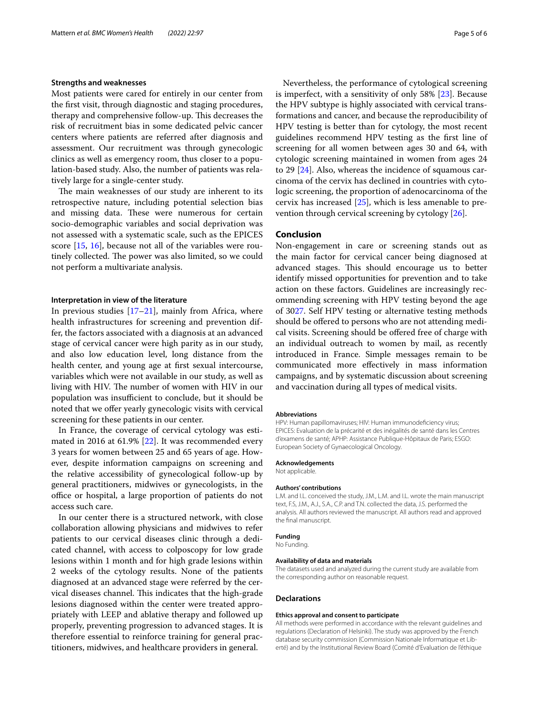#### **Strengths and weaknesses**

Most patients were cared for entirely in our center from the frst visit, through diagnostic and staging procedures, therapy and comprehensive follow-up. This decreases the risk of recruitment bias in some dedicated pelvic cancer centers where patients are referred after diagnosis and assessment. Our recruitment was through gynecologic clinics as well as emergency room, thus closer to a population-based study. Also, the number of patients was relatively large for a single-center study.

The main weaknesses of our study are inherent to its retrospective nature, including potential selection bias and missing data. These were numerous for certain socio-demographic variables and social deprivation was not assessed with a systematic scale, such as the EPICES score [15, 16], because not all of the variables were routinely collected. The power was also limited, so we could not perform a multivariate analysis.

#### **Interpretation in view of the literature**

In previous studies  $[17–21]$ , mainly from Africa, where health infrastructures for screening and prevention differ, the factors associated with a diagnosis at an advanced stage of cervical cancer were high parity as in our study, and also low education level, long distance from the health center, and young age at frst sexual intercourse, variables which were not available in our study, as well as living with HIV. The number of women with HIV in our population was insufficient to conclude, but it should be noted that we offer yearly gynecologic visits with cervical screening for these patients in our center.

In France, the coverage of cervical cytology was estimated in 2016 at 61.9% [22]. It was recommended every 3 years for women between 25 and 65 years of age. However, despite information campaigns on screening and the relative accessibility of gynecological follow-up by general practitioners, midwives or gynecologists, in the office or hospital, a large proportion of patients do not access such care.

In our center there is a structured network, with close collaboration allowing physicians and midwives to refer patients to our cervical diseases clinic through a dedicated channel, with access to colposcopy for low grade lesions within 1 month and for high grade lesions within 2 weeks of the cytology results. None of the patients diagnosed at an advanced stage were referred by the cervical diseases channel. This indicates that the high-grade lesions diagnosed within the center were treated appropriately with LEEP and ablative therapy and followed up properly, preventing progression to advanced stages. It is therefore essential to reinforce training for general practitioners, midwives, and healthcare providers in general.

Nevertheless, the performance of cytological screening is imperfect, with a sensitivity of only 58% [23]. Because the HPV subtype is highly associated with cervical transformations and cancer, and because the reproducibility of HPV testing is better than for cytology, the most recent guidelines recommend HPV testing as the frst line of screening for all women between ages 30 and 64, with cytologic screening maintained in women from ages 24 to 29 [24]. Also, whereas the incidence of squamous carcinoma of the cervix has declined in countries with cytologic screening, the proportion of adenocarcinoma of the cervix has increased [25], which is less amenable to prevention through cervical screening by cytology [26].

#### **Conclusion**

Non-engagement in care or screening stands out as the main factor for cervical cancer being diagnosed at advanced stages. This should encourage us to better identify missed opportunities for prevention and to take action on these factors. Guidelines are increasingly recommending screening with HPV testing beyond the age of 3027. Self HPV testing or alternative testing methods should be offered to persons who are not attending medical visits. Screening should be ofered free of charge with an individual outreach to women by mail, as recently introduced in France. Simple messages remain to be communicated more efectively in mass information campaigns, and by systematic discussion about screening and vaccination during all types of medical visits.

#### **Abbreviations**

HPV: Human papillomaviruses; HIV: Human immunodefciency virus; EPICES: Evaluation de la précarité et des inégalités de santé dans les Centres d'examens de santé; APHP: Assistance Publique-Hôpitaux de Paris; ESGO: European Society of Gynaecological Oncology.

#### **Acknowledgements**

Not applicable.

#### **Authors' contributions**

L.M. and I.L. conceived the study, J.M., L.M. and I.L. wrote the main manuscript text, F.S, J.M., A.J., S.A., C.P. and T.N. collected the data, J.S. performed the analysis. All authors reviewed the manuscript. All authors read and approved the fnal manuscript.

#### **Funding**

No Funding.

#### **Availability of data and materials**

The datasets used and analyzed during the current study are available from the corresponding author on reasonable request.

#### **Declarations**

#### **Ethics approval and consent to participate**

All methods were performed in accordance with the relevant guidelines and regulations (Declaration of Helsinki). The study was approved by the French database security commission (Commission Nationale Informatique et Liberté) and by the Institutional Review Board (Comité d'Evaluation de l'éthique